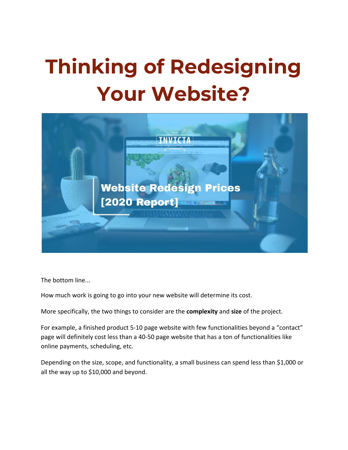# **Thinking of Redesigning Your Website?**



The bottom line...

How much work is going to go into your new website will determine its cost.

More specifically, the two things to consider are the **complexity** and **size** of the project.

For example, a finished product 5-10 page website with few functionalities beyond a "contact" page will definitely cost less than a 40-50 page website that has a ton of functionalities like online payments, scheduling, etc.

Depending on the size, scope, and functionality, a small business can spend less than \$1,000 or all the way up to \$10,000 and beyond.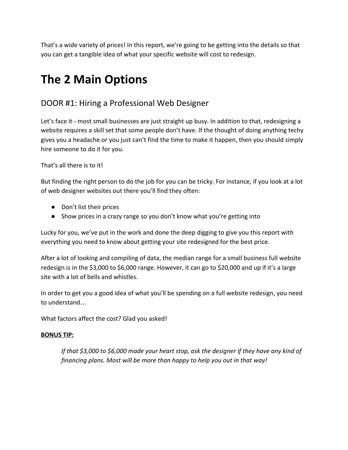That's a wide variety of prices! In this report, we're going to be getting into the details so that you can get a tangible idea of what your specific website will cost to redesign.

# **The 2 Main Options**

## DOOR #1: Hiring a Professional Web Designer

Let's face it - most small businesses are just straight up busy. In addition to that, redesigning a website requires a skill set that some people don't have. If the thought of doing anything techy gives you a headache or you just can't find the time to make it happen, then you should simply hire someone to do it for you.

#### That's all there is to it!

But finding the right person to do the job for you can be tricky. For instance, if you look at a lot of web designer websites out there you'll find they often:

- Don't list their prices
- Show prices in a crazy range so you don't know what you're getting into

Lucky for you, we've put in the work and done the deep digging to give you this report with everything you need to know about getting your site redesigned for the best price.

After a lot of looking and compiling of data, the median range for a small business full website redesign is in the \$3,000 to \$6,000 range. However, it can go to \$20,000 and up if it's a large site with a lot of bells and whistles.

In order to get you a good idea of what you'll be spending on a full website redesign, you need to understand…

What factors affect the cost? Glad you asked!

#### **BONUS TIP:**

*If that \$3,000 to \$6,000 made your heart stop, ask the designer if they have any kind of financing plans. Most will be more than happy to help you out in that way!*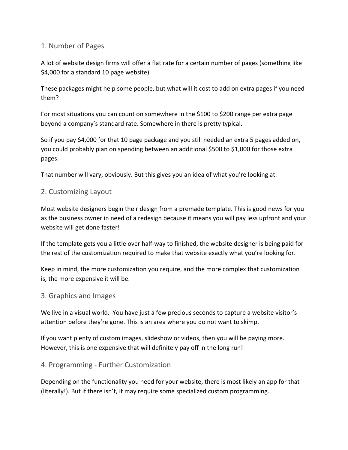#### 1. Number of Pages

A lot of website design firms will offer a flat rate for a certain number of pages (something like \$4,000 for a standard 10 page website).

These packages might help some people, but what will it cost to add on extra pages if you need them?

For most situations you can count on somewhere in the \$100 to \$200 range per extra page beyond a company's standard rate. Somewhere in there is pretty typical.

So if you pay \$4,000 for that 10 page package and you still needed an extra 5 pages added on, you could probably plan on spending between an additional \$500 to \$1,000 for those extra pages.

That number will vary, obviously. But this gives you an idea of what you're looking at.

#### 2. Customizing Layout

Most website designers begin their design from a premade template. This is good news for you as the business owner in need of a redesign because it means you will pay less upfront and your website will get done faster!

If the template gets you a little over half-way to finished, the website designer is being paid for the rest of the customization required to make that website exactly what you're looking for.

Keep in mind, the more customization you require, and the more complex that customization is, the more expensive it will be.

#### 3. Graphics and Images

We live in a visual world. You have just a few precious seconds to capture a website visitor's attention before they're gone. This is an area where you do not want to skimp.

If you want plenty of custom images, slideshow or videos, then you will be paying more. However, this is one expensive that will definitely pay off in the long run!

#### 4. Programming - Further Customization

Depending on the functionality you need for your website, there is most likely an app for that (literally!). But if there isn't, it may require some specialized custom programming.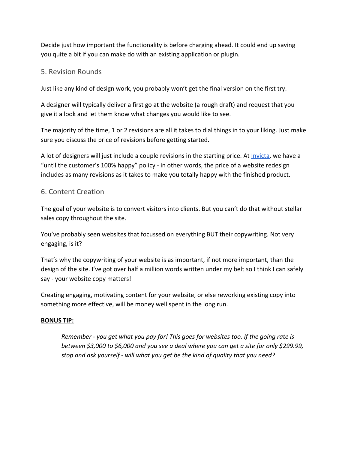Decide just how important the functionality is before charging ahead. It could end up saving you quite a bit if you can make do with an existing application or plugin.

#### 5. Revision Rounds

Just like any kind of design work, you probably won't get the final version on the first try.

A designer will typically deliver a first go at the website (a rough draft) and request that you give it a look and let them know what changes you would like to see.

The majority of the time, 1 or 2 revisions are all it takes to dial things in to your liking. Just make sure you discuss the price of revisions before getting started.

A lot of designers will just include a couple revisions in the starting price. At *Invicta*, we have a "until the customer's 100% happy" policy - in other words, the price of a website redesign includes as many revisions as it takes to make you totally happy with the finished product.

#### 6. Content Creation

The goal of your website is to convert visitors into clients. But you can't do that without stellar sales copy throughout the site.

You've probably seen websites that focussed on everything BUT their copywriting. Not very engaging, is it?

That's why the copywriting of your website is as important, if not more important, than the design of the site. I've got over half a million words written under my belt so I think I can safely say - your website copy matters!

Creating engaging, motivating content for your website, or else reworking existing copy into something more effective, will be money well spent in the long run.

#### **BONUS TIP:**

*Remember - you get what you pay for! This goes for websites too. If the going rate is between \$3,000 to \$6,000 and you see a deal where you can get a site for only \$299.99, stop and ask yourself - will what you get be the kind of quality that you need?*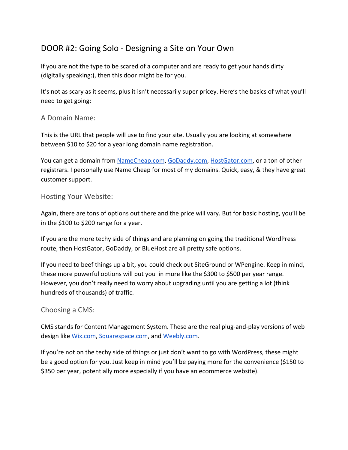# DOOR #2: Going Solo - Designing a Site on Your Own

If you are not the type to be scared of a computer and are ready to get your hands dirty (digitally speaking:), then this door might be for you.

It's not as scary as it seems, plus it isn't necessarily super pricey. Here's the basics of what you'll need to get going:

#### A Domain Name:

This is the URL that people will use to find your site. Usually you are looking at somewhere between \$10 to \$20 for a year long domain name registration.

You can get a domain from [NameCheap.com,](http://www.namecheap.com/) [GoDaddy.com](https://www.godaddy.com/), [HostGator.com,](https://www.hostgator.com/) or a ton of other registrars. I personally use Name Cheap for most of my domains. Quick, easy, & they have great customer support.

#### Hosting Your Website:

Again, there are tons of options out there and the price will vary. But for basic hosting, you'll be in the \$100 to \$200 range for a year.

If you are the more techy side of things and are planning on going the traditional WordPress route, then HostGator, GoDaddy, or BlueHost are all pretty safe options.

If you need to beef things up a bit, you could check out SiteGround or WPengine. Keep in mind, these more powerful options will put you in more like the \$300 to \$500 per year range. However, you don't really need to worry about upgrading until you are getting a lot (think hundreds of thousands) of traffic.

#### Choosing a CMS:

CMS stands for Content Management System. These are the real plug-and-play versions of web design like [Wix.com,](https://www.wix.com/) [Squarespace.com](https://www.squarespace.com/), and [Weebly.com](https://www.weebly.com/).

If you're not on the techy side of things or just don't want to go with WordPress, these might be a good option for you. Just keep in mind you'll be paying more for the convenience (\$150 to \$350 per year, potentially more especially if you have an ecommerce website).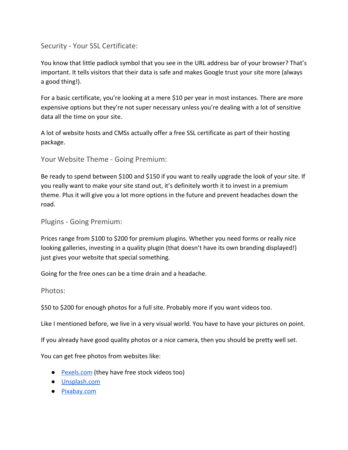Security - Your SSL Certificate:

You know that little padlock symbol that you see in the URL address bar of your browser? That's important. It tells visitors that their data is safe and makes Google trust your site more (always a good thing!).

For a basic certificate, you're looking at a mere \$10 per year in most instances. There are more expensive options but they're not super necessary unless you're dealing with a lot of sensitive data all the time on your site.

A lot of website hosts and CMSs actually offer a free SSL certificate as part of their hosting package.

Your Website Theme - Going Premium:

Be ready to spend between \$100 and \$150 if you want to really upgrade the look of your site. If you really want to make your site stand out, it's definitely worth it to invest in a premium theme. Plus it will give you a lot more options in the future and prevent headaches down the road.

Plugins - Going Premium:

Prices range from \$100 to \$200 for premium plugins. Whether you need forms or really nice looking galleries, investing in a quality plugin (that doesn't have its own branding displayed!) just gives your website that special something.

Going for the free ones can be a time drain and a headache.

Photos:

\$50 to \$200 for enough photos for a full site. Probably more if you want videos too.

Like I mentioned before, we live in a very visual world. You have to have your pictures on point.

If you already have good quality photos or a nice camera, then you should be pretty well set.

You can get free photos from websites like:

- **Pexels.com** (they have free stock videos too)
- [Unsplash.com](https://unsplash.com/)
- [Pixabay.com](https://pixabay.com/)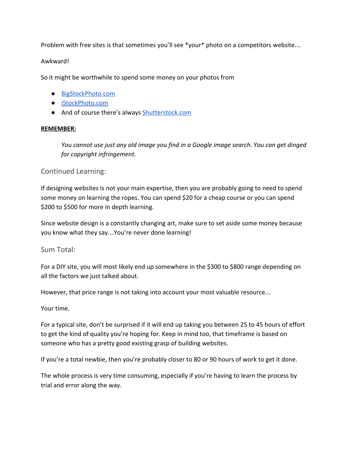Problem with free sites is that sometimes you'll see \*your\* photo on a competitors website...

#### Awkward!

So it might be worthwhile to spend some money on your photos from

- [BigStockPhoto.com](https://www.bigstockphoto.com/)
- [iStockPhoto.com](https://www.istockphoto.com/)
- And of course there's always [Shutterstock.com](https://www.shutterstock.com/)

#### **REMEMBER:**

*You cannot use just any old image you find in a Google image search. You can get dinged for copyright infringement.*

#### Continued Learning:

If designing websites is not your main expertise, then you are probably going to need to spend some money on learning the ropes. You can spend \$20 for a cheap course or you can spend \$200 to \$500 for more in depth learning.

Since website design is a constantly changing art, make sure to set aside some money because you know what they say…You're never done learning!

Sum Total:

For a DIY site, you will most likely end up somewhere in the \$300 to \$800 range depending on all the factors we just talked about.

However, that price range is not taking into account your most valuable resource…

Your time.

For a typical site, don't be surprised if it will end up taking you between 25 to 45 hours of effort to get the kind of quality you're hoping for. Keep in mind too, that timeframe is based on someone who has a pretty good existing grasp of building websites.

If you're a total newbie, then you're probably closer to 80 or 90 hours of work to get it done.

The whole process is very time consuming, especially if you're having to learn the process by trial and error along the way.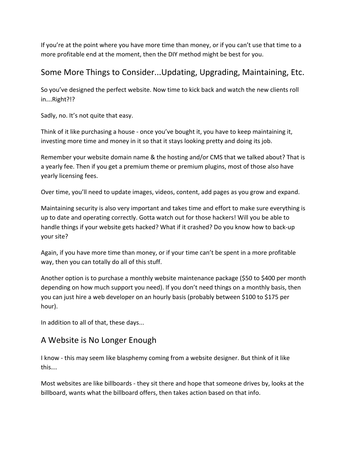If you're at the point where you have more time than money, or if you can't use that time to a more profitable end at the moment, then the DIY method might be best for you.

## Some More Things to Consider...Updating, Upgrading, Maintaining, Etc.

So you've designed the perfect website. Now time to kick back and watch the new clients roll in…Right?!?

Sadly, no. It's not quite that easy.

Think of it like purchasing a house - once you've bought it, you have to keep maintaining it, investing more time and money in it so that it stays looking pretty and doing its job.

Remember your website domain name & the hosting and/or CMS that we talked about? That is a yearly fee. Then if you get a premium theme or premium plugins, most of those also have yearly licensing fees.

Over time, you'll need to update images, videos, content, add pages as you grow and expand.

Maintaining security is also very important and takes time and effort to make sure everything is up to date and operating correctly. Gotta watch out for those hackers! Will you be able to handle things if your website gets hacked? What if it crashed? Do you know how to back-up your site?

Again, if you have more time than money, or if your time can't be spent in a more profitable way, then you can totally do all of this stuff.

Another option is to purchase a monthly website maintenance package (\$50 to \$400 per month depending on how much support you need). If you don't need things on a monthly basis, then you can just hire a web developer on an hourly basis (probably between \$100 to \$175 per hour).

In addition to all of that, these days...

# A Website is No Longer Enough

I know - this may seem like blasphemy coming from a website designer. But think of it like this…

Most websites are like billboards - they sit there and hope that someone drives by, looks at the billboard, wants what the billboard offers, then takes action based on that info.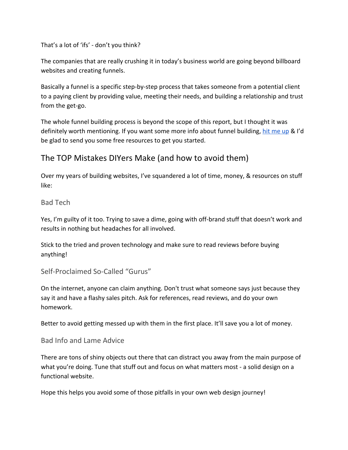That's a lot of 'ifs' - don't you think?

The companies that are really crushing it in today's business world are going beyond billboard websites and creating funnels.

Basically a funnel is a specific step-by-step process that takes someone from a potential client to a paying client by providing value, meeting their needs, and building a relationship and trust from the get-go.

The whole funnel building process is beyond the scope of this report, but I thought it was definitely worth mentioning. If you want some more info about funnel building, [hit me up](https://www.invicta.enterprises/schedule) & I'd be glad to send you some free resources to get you started.

## The TOP Mistakes DIYers Make (and how to avoid them)

Over my years of building websites, I've squandered a lot of time, money, & resources on stuff like:

#### Bad Tech

Yes, I'm guilty of it too. Trying to save a dime, going with off-brand stuff that doesn't work and results in nothing but headaches for all involved.

Stick to the tried and proven technology and make sure to read reviews before buying anything!

#### Self-Proclaimed So-Called "Gurus"

On the internet, anyone can claim anything. Don't trust what someone says just because they say it and have a flashy sales pitch. Ask for references, read reviews, and do your own homework.

Better to avoid getting messed up with them in the first place. It'll save you a lot of money.

#### Bad Info and Lame Advice

There are tons of shiny objects out there that can distract you away from the main purpose of what you're doing. Tune that stuff out and focus on what matters most - a solid design on a functional website.

Hope this helps you avoid some of those pitfalls in your own web design journey!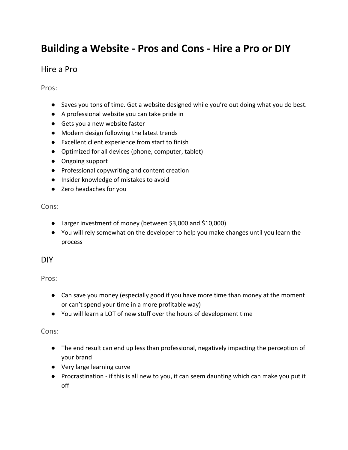# **Building a Website - Pros and Cons - Hire a Pro or DIY**

### Hire a Pro

Pros:

- Saves you tons of time. Get a website designed while you're out doing what you do best.
- A professional website you can take pride in
- Gets you a new website faster
- Modern design following the latest trends
- Excellent client experience from start to finish
- Optimized for all devices (phone, computer, tablet)
- Ongoing support
- Professional copywriting and content creation
- Insider knowledge of mistakes to avoid
- Zero headaches for you

Cons:

- Larger investment of money (between \$3,000 and \$10,000)
- You will rely somewhat on the developer to help you make changes until you learn the process

#### DIY

Pros:

- Can save you money (especially good if you have more time than money at the moment or can't spend your time in a more profitable way)
- You will learn a LOT of new stuff over the hours of development time

#### Cons:

- The end result can end up less than professional, negatively impacting the perception of your brand
- Very large learning curve
- Procrastination if this is all new to you, it can seem daunting which can make you put it off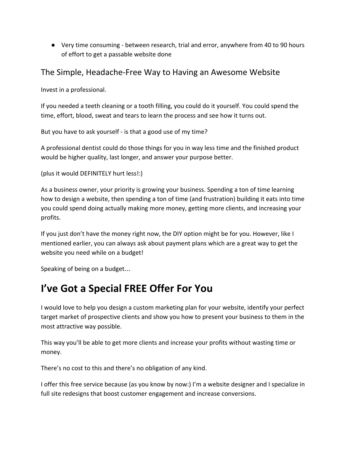● Very time consuming - between research, trial and error, anywhere from 40 to 90 hours of effort to get a passable website done

## The Simple, Headache-Free Way to Having an Awesome Website

Invest in a professional.

If you needed a teeth cleaning or a tooth filling, you could do it yourself. You could spend the time, effort, blood, sweat and tears to learn the process and see how it turns out.

But you have to ask yourself - is that a good use of my time?

A professional dentist could do those things for you in way less time and the finished product would be higher quality, last longer, and answer your purpose better.

```
(plus it would DEFINITELY hurt less!:)
```
As a business owner, your priority is growing your business. Spending a ton of time learning how to design a website, then spending a ton of time (and frustration) building it eats into time you could spend doing actually making more money, getting more clients, and increasing your profits.

If you just don't have the money right now, the DIY option might be for you. However, like I mentioned earlier, you can always ask about payment plans which are a great way to get the website you need while on a budget!

Speaking of being on a budget…

# **I've Got a Special FREE Offer For You**

I would love to help you design a custom marketing plan for your website, identify your perfect target market of prospective clients and show you how to present your business to them in the most attractive way possible.

This way you'll be able to get more clients and increase your profits without wasting time or money.

There's no cost to this and there's no obligation of any kind.

I offer this free service because (as you know by now:) I'm a website designer and I specialize in full site redesigns that boost customer engagement and increase conversions.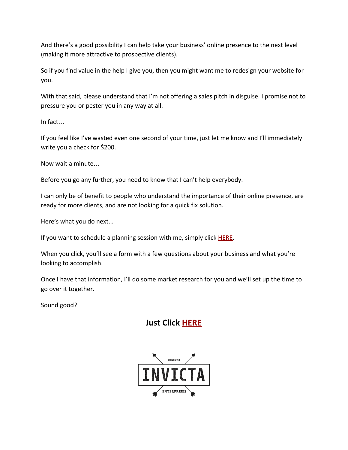And there's a good possibility I can help take your business' online presence to the next level (making it more attractive to prospective clients).

So if you find value in the help I give you, then you might want me to redesign your website for you.

With that said, please understand that I'm not offering a sales pitch in disguise. I promise not to pressure you or pester you in any way at all.

In fact…

If you feel like I've wasted even one second of your time, just let me know and I'll immediately write you a check for \$200.

Now wait a minute…

Before you go any further, you need to know that I can't help everybody.

I can only be of benefit to people who understand the importance of their online presence, are ready for more clients, and are not looking for a quick fix solution.

Here's what you do next...

If you want to schedule a planning session with me, simply click [HERE.](https://calendly.com/invictaenterprises/website)

When you click, you'll see a form with a few questions about your business and what you're looking to accomplish.

Once I have that information, I'll do some market research for you and we'll set up the time to go over it together.

Sound good?

# **Just Click [HERE](https://calendly.com/invictaenterprises/website)**